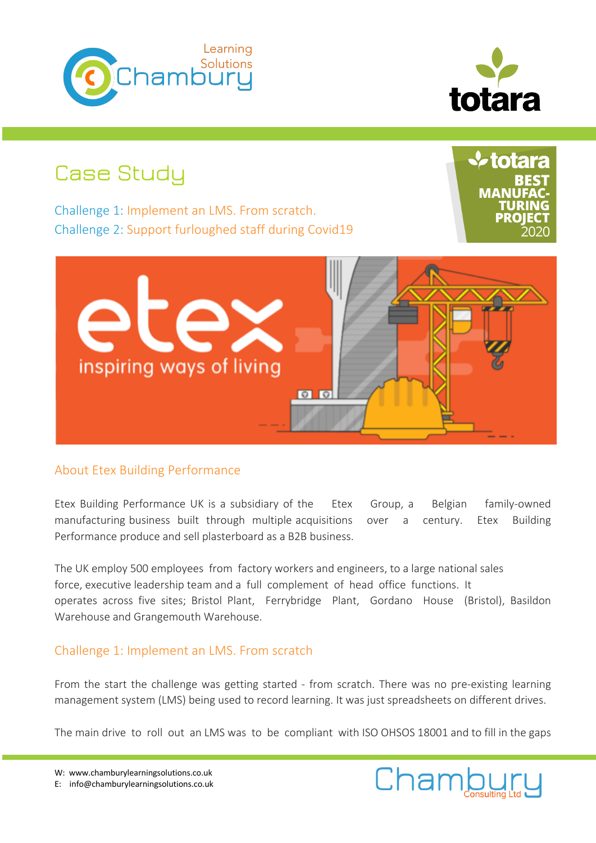



# Case Study

Challenge 1: Implement an LMS. From scratch. Challenge 2: Support furloughed staff during Covid19 **V** totara **MANU** 



## About Etex Building Performance

Etex Building Performance UK is a subsidiary of the Etex Group, a Belgian family-owned manufacturing business built through multiple acquisitions over a century. Etex Building Performance produce and sell plasterboard as a B2B business.

The UK employ 500 employees from factory workers and engineers, to a large national sales force, executive leadership team and a full complement of head office functions. It operates across five sites; Bristol Plant, Ferrybridge Plant, Gordano House (Bristol), Basildon Warehouse and Grangemouth Warehouse.

## Challenge 1: Implement an LMS. From scratch

From the start the challenge was getting started - from scratch. There was no pre-existing learning management system (LMS) being used to record learning. It was just spreadsheets on different drives.

The main drive to roll out an LMS was to be compliant with ISO OHSOS 18001 and to fill in the gaps

W: www.chamburylearningsolutions.co.uk E: info@chamburylearningsolutions.co.uk

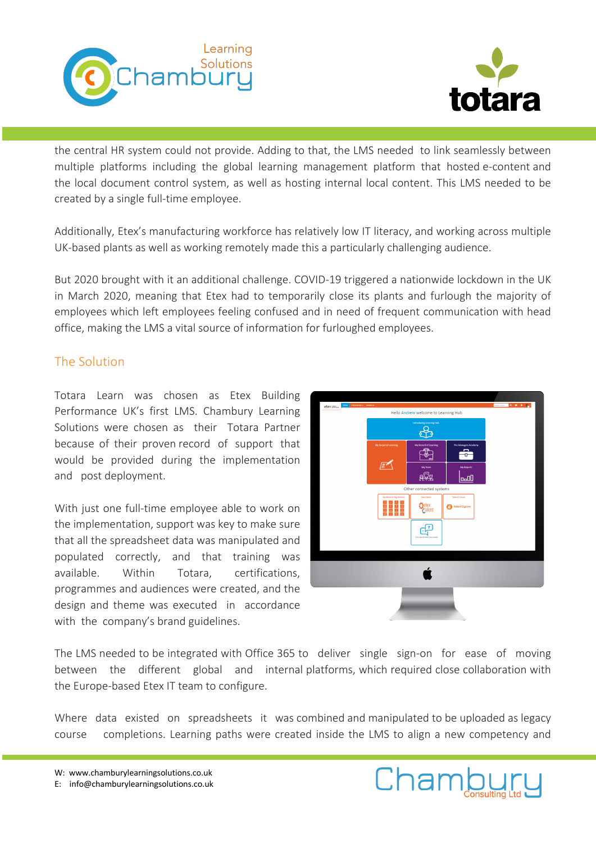



the central HR system could not provide. Adding to that, the LMS needed to link seamlessly between multiple platforms including the global learning management platform that hosted e-content and the local document control system, as well as hosting internal local content. This LMS needed to be created by a single full-time employee.

Additionally, Etex's manufacturing workforce has relatively low IT literacy, and working across multiple UK-based plants as well as working remotely made this a particularly challenging audience.

But 2020 brought with it an additional challenge. COVID-19 triggered a nationwide lockdown in the UK in March 2020, meaning that Etex had to temporarily close its plants and furlough the majority of employees which left employees feeling confused and in need of frequent communication with head office, making the LMS a vital source of information for furloughed employees.

## The Solution

Totara Learn was chosen as Etex Building Performance UK's first LMS. Chambury Learning Solutions were chosen as their Totara Partner because of their proven record of support that would be provided during the implementation and post deployment.

With just one full-time employee able to work on the implementation, support was key to make sure that all the spreadsheet data was manipulated and populated correctly, and that training was available. Within Totara, certifications, programmes and audiences were created, and the design and theme was executed in accordance with the company's brand guidelines.



The LMS needed to be integrated with Office 365 to deliver single sign-on for ease of moving between the different global and internal platforms, which required close collaboration with the Europe-based Etex IT team to configure.

Where data existed on spreadsheets it was combined and manipulated to be uploaded as legacy course completions. Learning paths were created inside the LMS to align a new competency and

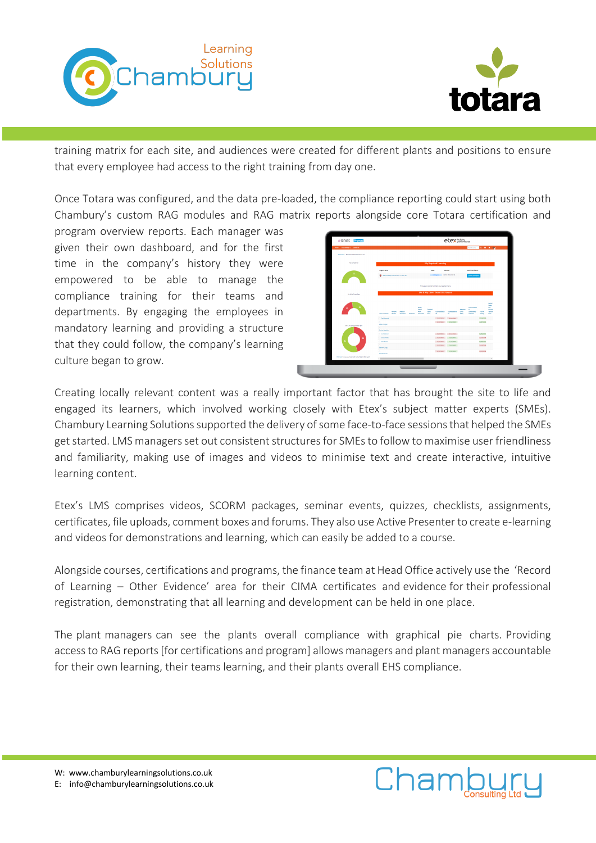



training matrix for each site, and audiences were created for different plants and positions to ensure that every employee had access to the right training from day one.

Once Totara was configured, and the data pre-loaded, the compliance reporting could start using both Chambury's custom RAG modules and RAG matrix reports alongside core Totara certification and

program overview reports. Each manager was given their own dashboard, and for the first time in the company's history they were empowered to be able to manage the compliance training for their teams and departments. By engaging the employees in mandatory learning and providing a structure that they could follow, the company's learning culture began to grow.

| New Returning - Company                            |                                                 |       |        |                             |                      |                                                       |                                             |                     | <b>Distances Q. B. A. By</b>     |                                 |                                         |  |
|----------------------------------------------------|-------------------------------------------------|-------|--------|-----------------------------|----------------------|-------------------------------------------------------|---------------------------------------------|---------------------|----------------------------------|---------------------------------|-----------------------------------------|--|
|                                                    |                                                 |       |        |                             |                      |                                                       |                                             |                     |                                  |                                 |                                         |  |
| <b>Between / Roomspheresem Developt</b>            |                                                 |       |        |                             |                      |                                                       |                                             |                     |                                  |                                 |                                         |  |
| <b>McGonalana</b>                                  |                                                 |       |        |                             |                      | My Required Learning                                  |                                             |                     |                                  |                                 |                                         |  |
|                                                    | <b>Rogan Natio</b>                              |       |        |                             | <b>Situs</b>         |                                                       | Diff die                                    |                     | Leynon Card Roadham              |                                 |                                         |  |
|                                                    | <b>Q</b> Nath Address for Interior: Albert Park |       |        |                             |                      |                                                       | In Fregress 20 Del 2014 at 12:14            |                     | <b>Leuris Centrum</b>            |                                 |                                         |  |
|                                                    |                                                 |       |        |                             |                      |                                                       |                                             |                     |                                  |                                 |                                         |  |
|                                                    |                                                 |       |        |                             |                      | They are no register that mach your selected prisers. |                                             |                     |                                  |                                 |                                         |  |
|                                                    |                                                 |       |        |                             |                      | Me & My Direct Team RAS Report                        |                                             |                     |                                  |                                 |                                         |  |
| Me & My Singt Non-                                 |                                                 |       |        |                             |                      |                                                       |                                             |                     |                                  |                                 |                                         |  |
|                                                    |                                                 |       |        |                             |                      |                                                       |                                             |                     |                                  |                                 | <b>Holth E</b><br><b>Gian</b>           |  |
|                                                    |                                                 |       |        | <b>Buddy</b><br><b>Cold</b> | Confirmed            |                                                       |                                             | <b>Kentis</b>       | Christmaster<br>٠                |                                 | <b>Sta</b><br><b><i><u>SAMA</u></i></b> |  |
|                                                    | <b>Dental Administration</b>                    | Month | Adedor | ww<br><b>Instruction</b>    | Space<br><b>Gent</b> | $\mathbf{u}$                                          | Contentations Committees<br>$\mathbf{r}$    | oto.<br><b>Gray</b> | Suitsmobile<br><b>Industries</b> | <b>Falled</b><br><b>Service</b> | $-8000$<br><b>Park</b>                  |  |
|                                                    | C Parkings                                      |       |        |                             |                      |                                                       | LLYWOO Notes for                            |                     |                                  | 1006000                         |                                         |  |
| <b>High McGrawford and Sam</b>                     | $\Omega$<br>Jeffrey Norgan                      |       |        |                             |                      |                                                       | nation nations                              |                     |                                  | <b><i><u>ILlecture</u></i></b>  |                                         |  |
|                                                    | $\Omega$<br><b>Andrew Restricts</b>             |       |        |                             |                      |                                                       |                                             |                     |                                  |                                 |                                         |  |
|                                                    | C lasterant                                     |       |        |                             |                      |                                                       | 11/2/2011 Networked                         |                     |                                  | 06/06/0006                      |                                         |  |
|                                                    | C James Holdes<br>O service                     |       |        |                             |                      |                                                       | <b>EL'AGORIE III SATUCADES</b><br>name nume |                     |                                  | <b>EUMORA</b><br><b>NAVIDES</b> |                                         |  |
|                                                    | $\Omega$                                        |       |        |                             |                      |                                                       | IL'ISTORI ILELONO                           |                     |                                  | <b>IL balance</b>               |                                         |  |
|                                                    | <b>Deptending</b><br>$\Omega$                   |       |        |                             |                      |                                                       | $135000$ $100000$                           |                     |                                  | <b>LUMMERS</b>                  |                                         |  |
| Old hands viewers ham and infiniti team RAS sport. | <b>Transaction</b>                              |       |        |                             |                      |                                                       |                                             |                     |                                  |                                 |                                         |  |
|                                                    | $\leftarrow$                                    |       |        |                             |                      |                                                       |                                             |                     |                                  |                                 |                                         |  |

Chambury

Creating locally relevant content was a really important factor that has brought the site to life and engaged its learners, which involved working closely with Etex's subject matter experts (SMEs). Chambury Learning Solutions supported the delivery of some face-to-face sessions that helped the SMEs get started. LMS managers set out consistent structures for SMEs to follow to maximise user friendliness and familiarity, making use of images and videos to minimise text and create interactive, intuitive learning content.

Etex's LMS comprises videos, SCORM packages, seminar events, quizzes, checklists, assignments, certificates, file uploads, comment boxes and forums. They also use Active Presenter to create e-learning and videos for demonstrations and learning, which can easily be added to a course.

Alongside courses, certifications and programs, the finance team at Head Office actively use the 'Record of Learning – Other Evidence' area for their CIMA certificates and evidence for their professional registration, demonstrating that all learning and development can be held in one place.

The plant managers can see the plants overall compliance with graphical pie charts. Providing access to RAG reports [for certifications and program] allows managers and plant managers accountable for their own learning, their teams learning, and their plants overall EHS compliance.



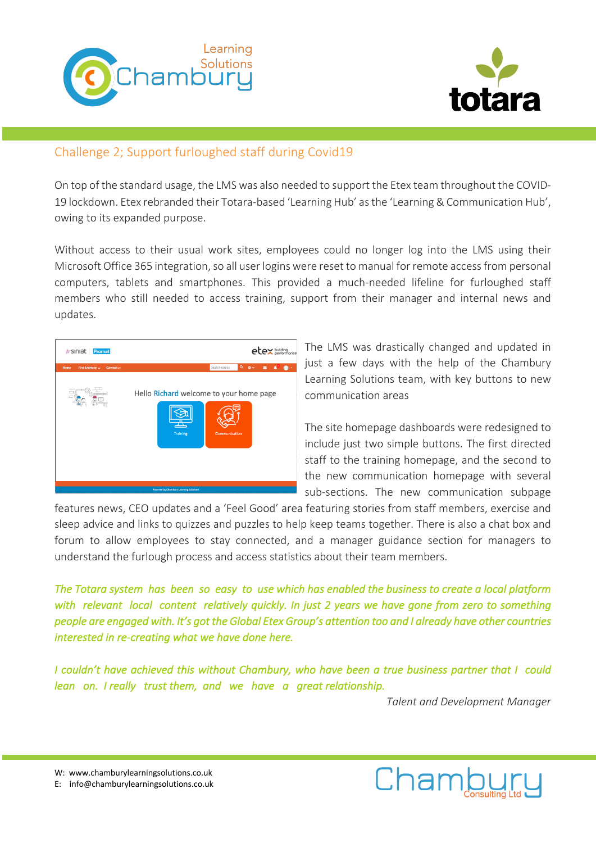



# Challenge 2; Support furloughed staff during Covid19

On top of the standard usage, the LMS was also needed to support the Etex team throughout the COVID-19 lockdown. Etex rebranded their Totara-based 'Learning Hub' as the 'Learning & Communication Hub', owing to its expanded purpose.

Without access to their usual work sites, employees could no longer log into the LMS using their Microsoft Office 365 integration, so all user logins were reset to manual for remote access from personal computers, tablets and smartphones. This provided a much-needed lifeline for furloughed staff members who still needed to access training, support from their manager and internal news and updates.



The LMS was drastically changed and updated in just a few days with the help of the Chambury Learning Solutions team, with key buttons to new communication areas

The site homepage dashboards were redesigned to include just two simple buttons. The first directed staff to the training homepage, and the second to the new communication homepage with several sub-sections. The new communication subpage

features news, CEO updates and a 'Feel Good' area featuring stories from staff members, exercise and sleep advice and links to quizzes and puzzles to help keep teams together. There is also a chat box and forum to allow employees to stay connected, and a manager guidance section for managers to understand the furlough process and access statistics about their team members.

*The Totara system has been so easy to use which has enabled the business to create a local platform with relevant local content relatively quickly. In just 2 years we have gone from zero to something people are engaged with. It's got the Global Etex Group's attention too and I already have other countries interested in re-creating what we have done here.* 

*I couldn't have achieved this without Chambury, who have been a true business partner that I could lean on. I really trust them, and we have a great relationship.* 

*Talent and Development Manager*



W: www.chamburylearningsolutions.co.uk

E: info@chamburylearningsolutions.co.uk